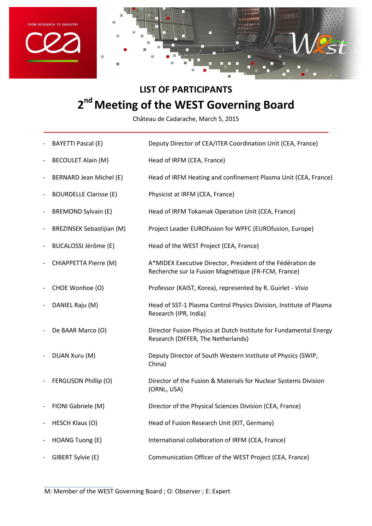



## **LIST OF PARTICIPANTS 2 nd Meeting of the WEST Governing Board**

Château de Cadarache, March 5, 2015

- BAYETTI Pascal (E) Deputy Director of CEA/ITER Coordination Unit (CEA, France)
- BECOULET Alain (M) **Head of IRFM (CEA, France)**
- BERNARD Jean Michel (E) Head of IRFM Heating and confinement Plasma Unit (CEA, France)
- *-* BOURDELLE Clarisse (E) Physicist at IRFM (CEA, France)
- *-* BREMOND Sylvain (E) Head of IRFM Tokamak Operation Unit (CEA, France)
- BREZINSEK Sebastijian (M) Project Leader EUROfusion for WPFC (EUROfusion, Europe)
- *-* BUCALOSSI Jérôme (E) Head of the WEST Project (CEA, France)
- *-* CHIAPPETTA Pierre (M) A\*MIDEX Executive Director, President of the Fédération de Recherche sur la Fusion Magnétique (FR-FCM, France)
- *-* CHOE Wonhoe (O) Professor (KAIST, Korea), represented by R. Guirlet *- Visio*
- *-* DANIEL Raju (M) Head of SST-1 Plasma Control Physics Division, Institute of Plasma Research (IPR, India)
- *-* De BAAR Marco (O) Director Fusion Physics at Dutch Institute for Fundamental Energy Research (DIFFER, The Netherlands)
- **DUAN Xuru (M)** Deputy Director of South Western Institute of Physics (SWIP, China)
- *-* FERGUSON Phillip (O) Director of the Fusion & Materials for Nuclear Systems Division (ORNL, USA)
- *-* FIONI Gabriele (M) Director of the Physical Sciences Division (CEA, France)
- *-* HESCH Klaus (O) Head of Fusion Research Unit (KIT, Germany)
- *-* HOANG Tuong (E) International collaboration of IRFM (CEA, France)
- *-* GIBERT Sylvie (E) Communication Officer of the WEST Project (CEA, France)

M: Member of the WEST Governing Board ; O: Observer ; E: Expert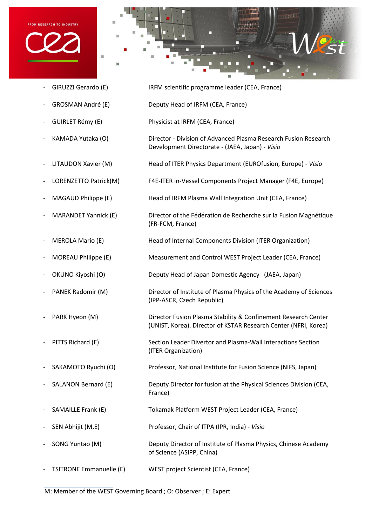





- *-* GIRUZZI Gerardo (E) IRFM scientific programme leader (CEA, France)
- *-* GROSMAN André (E) Deputy Head of IRFM (CEA, France)
- *-* GUIRLET Rémy (E) Physicist at IRFM (CEA, France)
- *-* KAMADA Yutaka (O) Director Division of Advanced Plasma Research Fusion Research
- *-* LITAUDON Xavier (M) Head of ITER Physics Department (EUROfusion, Europe) *- Visio*
- *-* LORENZETTO Patrick(M) F4E-ITER in-Vessel Components Project Manager (F4E, Europe)

Development Directorate - (JAEA, Japan) *- Visio*

- *-* MAGAUD Philippe (E) Head of IRFM Plasma Wall Integration Unit (CEA, France)
- *-* MARANDET Yannick (E) Director of the Fédération de Recherche sur la Fusion Magnétique (FR-FCM, France)
- *-* MEROLA Mario (E) Head of Internal Components Division (ITER Organization)
- *-* MOREAU Philippe (E) Measurement and Control WEST Project Leader (CEA, France)
- *-* OKUNO Kiyoshi (O) Deputy Head of Japan Domestic Agency (JAEA, Japan)
- *-* PANEK Radomir (M) Director of Institute of Plasma Physics of the Academy of Sciences (IPP-ASCR, Czech Republic)
- PARK Hyeon (M) **Director Fusion Plasma Stability & Confinement Research Center** (UNIST, Korea). Director of KSTAR Research Center (NFRI, Korea)
- *-* PITTS Richard (E) Section Leader Divertor and Plasma-Wall Interactions Section (ITER Organization)
- *-* SAKAMOTO Ryuchi (O) Professor, National Institute for Fusion Science (NIFS, Japan)
- SALANON Bernard (E) Deputy Director for fusion at the Physical Sciences Division (CEA, France)
- *-* SAMAILLE Frank (E) Tokamak Platform WEST Project Leader (CEA, France)
- *-* SEN Abhijit (M,E) Professor, Chair of ITPA (IPR, India) *- Visio*
- *-* SONG Yuntao (M) Deputy Director of Institute of Plasma Physics, Chinese Academy of Science (ASIPP, China)
- *-* TSITRONE Emmanuelle (E) WEST project Scientist (CEA, France)

M: Member of the WEST Governing Board ; O: Observer ; E: Expert